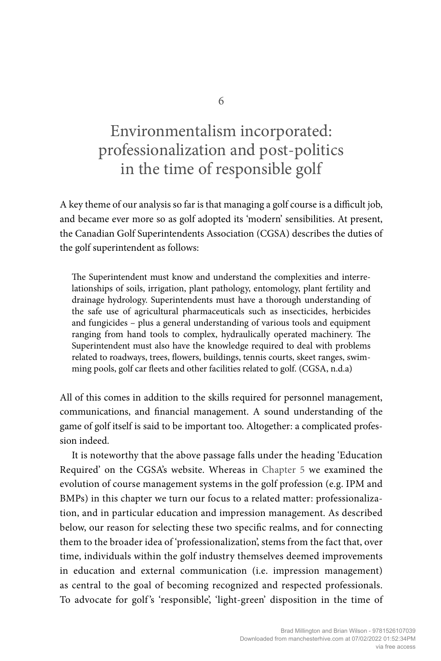# Environmentalism incorporated: professionalization and post-politics in the time of responsible golf

A key theme of our analysis so far is that managing a golf course is a difficult job, and became ever more so as golf adopted its 'modern' sensibilities. At present, the Canadian Golf Superintendents Association (CGSA) describes the duties of the golf superintendent as follows:

The Superintendent must know and understand the complexities and interrelationships of soils, irrigation, plant pathology, entomology, plant fertility and drainage hydrology. Superintendents must have a thorough understanding of the safe use of agricultural pharmaceuticals such as insecticides, herbicides and fungicides – plus a general understanding of various tools and equipment ranging from hand tools to complex, hydraulically operated machinery. The Superintendent must also have the knowledge required to deal with problems related to roadways, trees, flowers, buildings, tennis courts, skeet ranges, swimming pools, golf car fleets and other facilities related to golf. (CGSA, n.d.a)

All of this comes in addition to the skills required for personnel management, communications, and financial management. A sound understanding of the game of golf itself is said to be important too. Altogether: a complicated profession indeed.

It is noteworthy that the above passage falls under the heading 'Education Required' on the CGSA's website. Whereas in Chapter 5 we examined the evolution of course management systems in the golf profession (e.g. IPM and BMPs) in this chapter we turn our focus to a related matter: professionalization, and in particular education and impression management. As described below, our reason for selecting these two specific realms, and for connecting them to the broader idea of 'professionalization', stems from the fact that, over time, individuals within the golf industry themselves deemed improvements in education and external communication (i.e. impression management) as central to the goal of becoming recognized and respected professionals. To advocate for golf 's 'responsible', 'light-green' disposition in the time of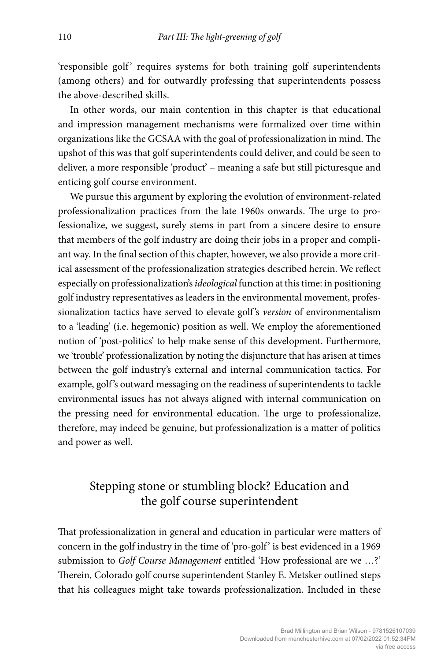'responsible golf' requires systems for both training golf superintendents (among others) and for outwardly professing that superintendents possess the above-described skills.

In other words, our main contention in this chapter is that educational and impression management mechanisms were formalized over time within organizations like the GCSAA with the goal of professionalization in mind. The upshot of this was that golf superintendents could deliver, and could be seen to deliver, a more responsible 'product' – meaning a safe but still picturesque and enticing golf course environment.

We pursue this argument by exploring the evolution of environment-related professionalization practices from the late 1960s onwards. The urge to professionalize, we suggest, surely stems in part from a sincere desire to ensure that members of the golf industry are doing their jobs in a proper and compliant way. In the final section of this chapter, however, we also provide a more critical assessment of the professionalization strategies described herein. We reflect especially on professionalization's *ideological* function at this time: in positioning golf industry representatives as leaders in the environmental movement, professionalization tactics have served to elevate golf 's *version* of environmentalism to a 'leading' (i.e. hegemonic) position as well. We employ the aforementioned notion of 'post-politics' to help make sense of this development. Furthermore, we 'trouble' professionalization by noting the disjuncture that has arisen at times between the golf industry's external and internal communication tactics. For example, golf 's outward messaging on the readiness of superintendents to tackle environmental issues has not always aligned with internal communication on the pressing need for environmental education. The urge to professionalize, therefore, may indeed be genuine, but professionalization is a matter of politics and power as well.

# Stepping stone or stumbling block? Education and the golf course superintendent

That professionalization in general and education in particular were matters of concern in the golf industry in the time of 'pro-golf' is best evidenced in a 1969 submission to *Golf Course Management* entitled 'How professional are we …?' Therein, Colorado golf course superintendent Stanley E. Metsker outlined steps that his colleagues might take towards professionalization. Included in these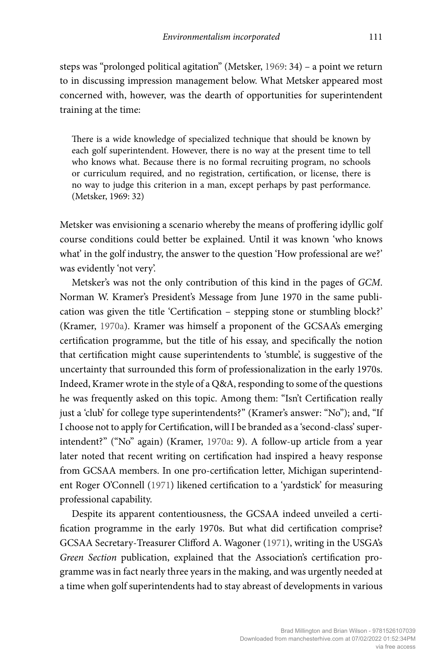steps was "prolonged political agitation" (Metsker, 1969: 34) – a point we return to in discussing impression management below. What Metsker appeared most concerned with, however, was the dearth of opportunities for superintendent training at the time:

There is a wide knowledge of specialized technique that should be known by each golf superintendent. However, there is no way at the present time to tell who knows what. Because there is no formal recruiting program, no schools or curriculum required, and no registration, certification, or license, there is no way to judge this criterion in a man, except perhaps by past performance. (Metsker, 1969: 32)

Metsker was envisioning a scenario whereby the means of proffering idyllic golf course conditions could better be explained. Until it was known 'who knows what' in the golf industry, the answer to the question 'How professional are we?' was evidently 'not very'.

Metsker's was not the only contribution of this kind in the pages of *GCM*. Norman W. Kramer's President's Message from June 1970 in the same publication was given the title 'Certification – stepping stone or stumbling block?' (Kramer, 1970a). Kramer was himself a proponent of the GCSAA's emerging certification programme, but the title of his essay, and specifically the notion that certification might cause superintendents to 'stumble', is suggestive of the uncertainty that surrounded this form of professionalization in the early 1970s. Indeed, Kramer wrote in the style of a Q&A, responding to some of the questions he was frequently asked on this topic. Among them: "Isn't Certification really just a 'club' for college type superintendents?" (Kramer's answer: "No"); and, "If I choose not to apply for Certification, will I be branded as a 'second-class' superintendent?" ("No" again) (Kramer, 1970a: 9). A follow-up article from a year later noted that recent writing on certification had inspired a heavy response from GCSAA members. In one pro-certification letter, Michigan superintendent Roger O'Connell (1971) likened certification to a 'yardstick' for measuring professional capability.

Despite its apparent contentiousness, the GCSAA indeed unveiled a certification programme in the early 1970s. But what did certification comprise? GCSAA Secretary-Treasurer Clifford A. Wagoner (1971), writing in the USGA's *Green Section* publication, explained that the Association's certification programme was in fact nearly three years in the making, and was urgently needed at a time when golf superintendents had to stay abreast of developments in various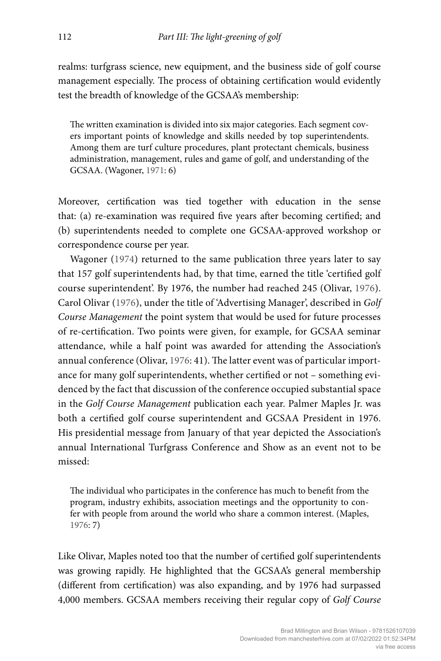realms: turfgrass science, new equipment, and the business side of golf course management especially. The process of obtaining certification would evidently test the breadth of knowledge of the GCSAA's membership:

The written examination is divided into six major categories. Each segment covers important points of knowledge and skills needed by top superintendents. Among them are turf culture procedures, plant protectant chemicals, business administration, management, rules and game of golf, and understanding of the GCSAA. (Wagoner, 1971: 6)

Moreover, certification was tied together with education in the sense that: (a) re-examination was required five years after becoming certified; and (b) superintendents needed to complete one GCSAA-approved workshop or correspondence course per year.

Wagoner (1974) returned to the same publication three years later to say that 157 golf superintendents had, by that time, earned the title 'certified golf course superintendent'. By 1976, the number had reached 245 (Olivar, 1976). Carol Olivar (1976), under the title of 'Advertising Manager', described in *Golf Course Management* the point system that would be used for future processes of re-certification. Two points were given, for example, for GCSAA seminar attendance, while a half point was awarded for attending the Association's annual conference (Olivar, 1976: 41). The latter event was of particular importance for many golf superintendents, whether certified or not – something evidenced by the fact that discussion of the conference occupied substantial space in the *Golf Course Management* publication each year. Palmer Maples Jr. was both a certified golf course superintendent and GCSAA President in 1976. His presidential message from January of that year depicted the Association's annual International Turfgrass Conference and Show as an event not to be missed:

The individual who participates in the conference has much to benefit from the program, industry exhibits, association meetings and the opportunity to confer with people from around the world who share a common interest. (Maples, 1976: 7)

Like Olivar, Maples noted too that the number of certified golf superintendents was growing rapidly. He highlighted that the GCSAA's general membership (different from certification) was also expanding, and by 1976 had surpassed 4,000 members. GCSAA members receiving their regular copy of *Golf Course*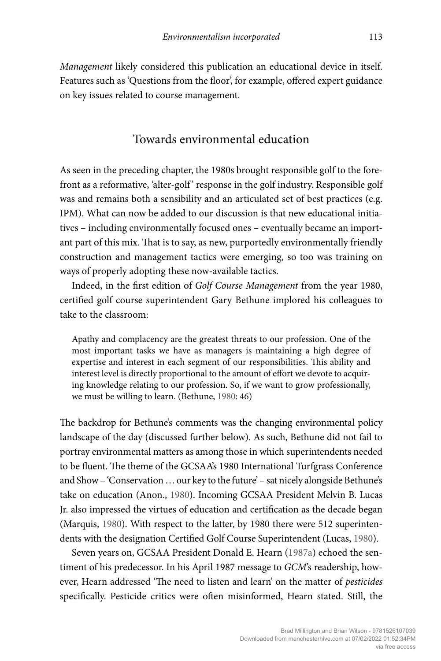*Management* likely considered this publication an educational device in itself. Features such as 'Questions from the floor', for example, offered expert guidance on key issues related to course management.

#### Towards environmental education

As seen in the preceding chapter, the 1980s brought responsible golf to the forefront as a reformative, 'alter-golf' response in the golf industry. Responsible golf was and remains both a sensibility and an articulated set of best practices (e.g. IPM). What can now be added to our discussion is that new educational initiatives – including environmentally focused ones – eventually became an important part of this mix. That is to say, as new, purportedly environmentally friendly construction and management tactics were emerging, so too was training on ways of properly adopting these now-available tactics.

Indeed, in the first edition of *Golf Course Management* from the year 1980, certified golf course superintendent Gary Bethune implored his colleagues to take to the classroom:

Apathy and complacency are the greatest threats to our profession. One of the most important tasks we have as managers is maintaining a high degree of expertise and interest in each segment of our responsibilities. This ability and interest level is directly proportional to the amount of effort we devote to acquiring knowledge relating to our profession. So, if we want to grow professionally, we must be willing to learn. (Bethune, 1980: 46)

The backdrop for Bethune's comments was the changing environmental policy landscape of the day (discussed further below). As such, Bethune did not fail to portray environmental matters as among those in which superintendents needed to be fluent. The theme of the GCSAA's 1980 International Turfgrass Conference and Show – 'Conservation … our key to the future' – sat nicely alongside Bethune's take on education (Anon., 1980). Incoming GCSAA President Melvin B. Lucas Jr. also impressed the virtues of education and certification as the decade began (Marquis, 1980). With respect to the latter, by 1980 there were 512 superintendents with the designation Certified Golf Course Superintendent (Lucas, 1980).

Seven years on, GCSAA President Donald E. Hearn (1987a) echoed the sentiment of his predecessor. In his April 1987 message to *GCM*'s readership, however, Hearn addressed 'The need to listen and learn' on the matter of *pesticides* specifically. Pesticide critics were often misinformed, Hearn stated. Still, the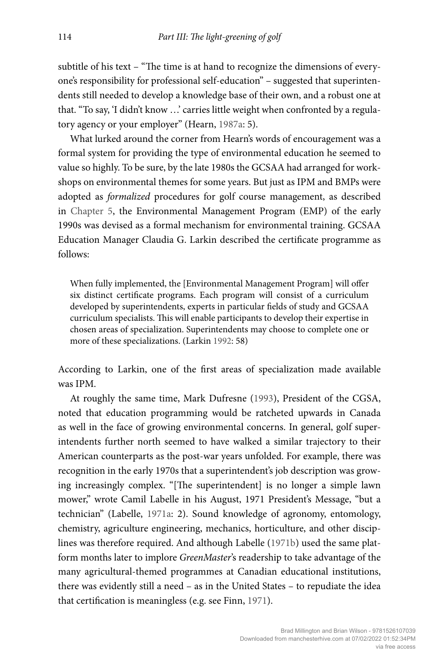subtitle of his text – "The time is at hand to recognize the dimensions of everyone's responsibility for professional self-education" – suggested that superintendents still needed to develop a knowledge base of their own, and a robust one at that. "To say, 'I didn't know …' carries little weight when confronted by a regulatory agency or your employer" (Hearn, 1987a: 5).

What lurked around the corner from Hearn's words of encouragement was a formal system for providing the type of environmental education he seemed to value so highly. To be sure, by the late 1980s the GCSAA had arranged for workshops on environmental themes for some years. But just as IPM and BMPs were adopted as *formalized* procedures for golf course management, as described in Chapter 5, the Environmental Management Program (EMP) of the early 1990s was devised as a formal mechanism for environmental training. GCSAA Education Manager Claudia G. Larkin described the certificate programme as follows:

When fully implemented, the [Environmental Management Program] will offer six distinct certificate programs. Each program will consist of a curriculum developed by superintendents, experts in particular fields of study and GCSAA curriculum specialists. This will enable participants to develop their expertise in chosen areas of specialization. Superintendents may choose to complete one or more of these specializations. (Larkin 1992: 58)

According to Larkin, one of the first areas of specialization made available was IPM.

At roughly the same time, Mark Dufresne (1993), President of the CGSA, noted that education programming would be ratcheted upwards in Canada as well in the face of growing environmental concerns. In general, golf superintendents further north seemed to have walked a similar trajectory to their American counterparts as the post-war years unfolded. For example, there was recognition in the early 1970s that a superintendent's job description was growing increasingly complex. "[The superintendent] is no longer a simple lawn mower," wrote Camil Labelle in his August, 1971 President's Message, "but a technician" (Labelle, 1971a: 2). Sound knowledge of agronomy, entomology, chemistry, agriculture engineering, mechanics, horticulture, and other disciplines was therefore required. And although Labelle (1971b) used the same platform months later to implore *GreenMaster*'s readership to take advantage of the many agricultural-themed programmes at Canadian educational institutions, there was evidently still a need – as in the United States – to repudiate the idea that certification is meaningless (e.g. see Finn, 1971).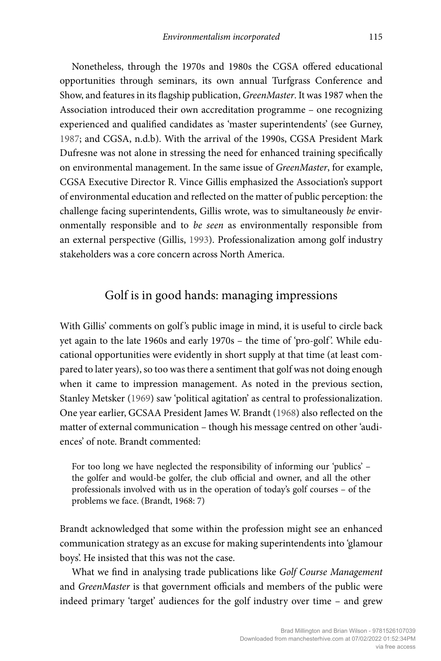Nonetheless, through the 1970s and 1980s the CGSA offered educational opportunities through seminars, its own annual Turfgrass Conference and Show, and features in its flagship publication, *GreenMaster*. It was 1987 when the Association introduced their own accreditation programme – one recognizing experienced and qualified candidates as 'master superintendents' (see Gurney, 1987; and CGSA, n.d.b). With the arrival of the 1990s, CGSA President Mark Dufresne was not alone in stressing the need for enhanced training specifically on environmental management. In the same issue of *GreenMaster*, for example, CGSA Executive Director R. Vince Gillis emphasized the Association's support of environmental education and reflected on the matter of public perception: the challenge facing superintendents, Gillis wrote, was to simultaneously *be* environmentally responsible and to *be seen* as environmentally responsible from an external perspective (Gillis, 1993). Professionalization among golf industry stakeholders was a core concern across North America.

## Golf is in good hands: managing impressions

With Gillis' comments on golf's public image in mind, it is useful to circle back yet again to the late 1960s and early 1970s – the time of 'pro-golf'. While educational opportunities were evidently in short supply at that time (at least compared to later years), so too was there a sentiment that golf was not doing enough when it came to impression management. As noted in the previous section, Stanley Metsker (1969) saw 'political agitation' as central to professionalization. One year earlier, GCSAA President James W. Brandt (1968) also reflected on the matter of external communication – though his message centred on other 'audiences' of note. Brandt commented:

For too long we have neglected the responsibility of informing our 'publics' – the golfer and would-be golfer, the club official and owner, and all the other professionals involved with us in the operation of today's golf courses – of the problems we face. (Brandt, 1968: 7)

Brandt acknowledged that some within the profession might see an enhanced communication strategy as an excuse for making superintendents into 'glamour boys'. He insisted that this was not the case.

What we find in analysing trade publications like *Golf Course Management* and *GreenMaster* is that government officials and members of the public were indeed primary 'target' audiences for the golf industry over time – and grew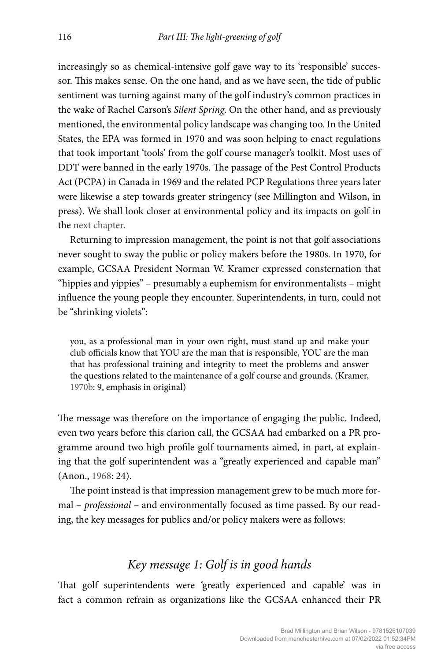increasingly so as chemical-intensive golf gave way to its 'responsible' successor. This makes sense. On the one hand, and as we have seen, the tide of public sentiment was turning against many of the golf industry's common practices in the wake of Rachel Carson's *Silent Spring*. On the other hand, and as previously mentioned, the environmental policy landscape was changing too. In the United States, the EPA was formed in 1970 and was soon helping to enact regulations that took important 'tools' from the golf course manager's toolkit. Most uses of DDT were banned in the early 1970s. The passage of the Pest Control Products Act (PCPA) in Canada in 1969 and the related PCP Regulations three years later were likewise a step towards greater stringency (see Millington and Wilson, in press). We shall look closer at environmental policy and its impacts on golf in the next chapter.

Returning to impression management, the point is not that golf associations never sought to sway the public or policy makers before the 1980s. In 1970, for example, GCSAA President Norman W. Kramer expressed consternation that "hippies and yippies" – presumably a euphemism for environmentalists – might influence the young people they encounter. Superintendents, in turn, could not be "shrinking violets":

you, as a professional man in your own right, must stand up and make your club officials know that YOU are the man that is responsible, YOU are the man that has professional training and integrity to meet the problems and answer the questions related to the maintenance of a golf course and grounds. (Kramer, 1970b: 9, emphasis in original)

The message was therefore on the importance of engaging the public. Indeed, even two years before this clarion call, the GCSAA had embarked on a PR programme around two high profile golf tournaments aimed, in part, at explaining that the golf superintendent was a "greatly experienced and capable man" (Anon., 1968: 24).

The point instead is that impression management grew to be much more formal – *professional* – and environmentally focused as time passed. By our reading, the key messages for publics and/or policy makers were as follows:

#### *Key message 1: Golf is in good hands*

That golf superintendents were 'greatly experienced and capable' was in fact a common refrain as organizations like the GCSAA enhanced their PR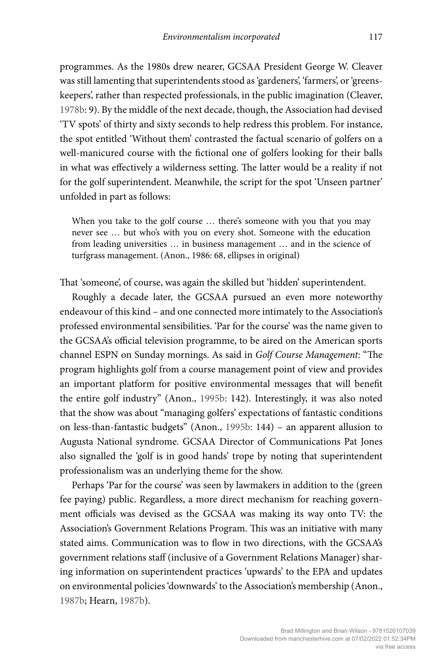programmes. As the 1980s drew nearer, GCSAA President George W. Cleaver was still lamenting that superintendents stood as 'gardeners', 'farmers', or 'greenskeepers', rather than respected professionals, in the public imagination (Cleaver, 1978b: 9). By the middle of the next decade, though, the Association had devised 'TV spots' of thirty and sixty seconds to help redress this problem. For instance, the spot entitled 'Without them' contrasted the factual scenario of golfers on a well-manicured course with the fictional one of golfers looking for their balls in what was effectively a wilderness setting. The latter would be a reality if not for the golf superintendent. Meanwhile, the script for the spot 'Unseen partner' unfolded in part as follows:

When you take to the golf course … there's someone with you that you may never see … but who's with you on every shot. Someone with the education from leading universities … in business management … and in the science of turfgrass management. (Anon., 1986: 68, ellipses in original)

That 'someone', of course, was again the skilled but 'hidden' superintendent.

Roughly a decade later, the GCSAA pursued an even more noteworthy endeavour of this kind – and one connected more intimately to the Association's professed environmental sensibilities. 'Par for the course' was the name given to the GCSAA's official television programme, to be aired on the American sports channel ESPN on Sunday mornings. As said in *Golf Course Management*: "The program highlights golf from a course management point of view and provides an important platform for positive environmental messages that will benefit the entire golf industry" (Anon., 1995b: 142). Interestingly, it was also noted that the show was about "managing golfers' expectations of fantastic conditions on less-than-fantastic budgets" (Anon., 1995b: 144) – an apparent allusion to Augusta National syndrome. GCSAA Director of Communications Pat Jones also signalled the 'golf is in good hands' trope by noting that superintendent professionalism was an underlying theme for the show.

Perhaps 'Par for the course' was seen by lawmakers in addition to the (green fee paying) public. Regardless, a more direct mechanism for reaching government officials was devised as the GCSAA was making its way onto TV: the Association's Government Relations Program. This was an initiative with many stated aims. Communication was to flow in two directions, with the GCSAA's government relations staff (inclusive of a Government Relations Manager) sharing information on superintendent practices 'upwards' to the EPA and updates on environmental policies 'downwards' to the Association's membership (Anon., 1987b; Hearn, 1987b).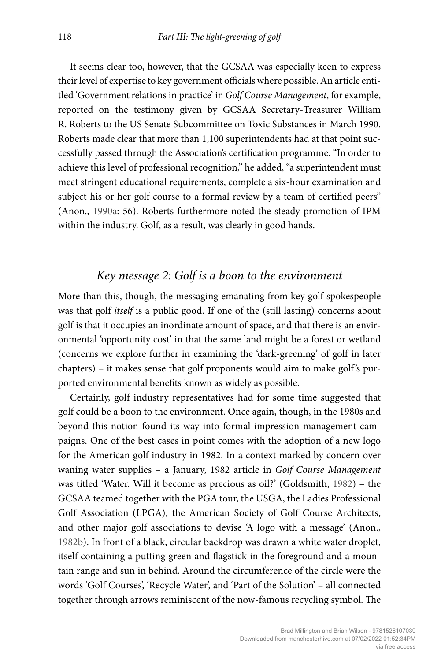It seems clear too, however, that the GCSAA was especially keen to express their level of expertise to key government officials where possible. An article entitled 'Government relations in practice' in *Golf Course Management*, for example, reported on the testimony given by GCSAA Secretary-Treasurer William R. Roberts to the US Senate Subcommittee on Toxic Substances in March 1990. Roberts made clear that more than 1,100 superintendents had at that point successfully passed through the Association's certification programme. "In order to achieve this level of professional recognition," he added, "a superintendent must meet stringent educational requirements, complete a six-hour examination and subject his or her golf course to a formal review by a team of certified peers" (Anon., 1990a: 56). Roberts furthermore noted the steady promotion of IPM within the industry. Golf, as a result, was clearly in good hands.

#### *Key message 2: Golf is a boon to the environment*

More than this, though, the messaging emanating from key golf spokespeople was that golf *itself* is a public good. If one of the (still lasting) concerns about golf is that it occupies an inordinate amount of space, and that there is an environmental 'opportunity cost' in that the same land might be a forest or wetland (concerns we explore further in examining the 'dark-greening' of golf in later chapters) – it makes sense that golf proponents would aim to make golf's purported environmental benefits known as widely as possible.

Certainly, golf industry representatives had for some time suggested that golf could be a boon to the environment. Once again, though, in the 1980s and beyond this notion found its way into formal impression management campaigns. One of the best cases in point comes with the adoption of a new logo for the American golf industry in 1982. In a context marked by concern over waning water supplies – a January, 1982 article in *Golf Course Management* was titled 'Water. Will it become as precious as oil?' (Goldsmith, 1982) – the GCSAA teamed together with the PGA tour, the USGA, the Ladies Professional Golf Association (LPGA), the American Society of Golf Course Architects, and other major golf associations to devise 'A logo with a message' (Anon., 1982b). In front of a black, circular backdrop was drawn a white water droplet, itself containing a putting green and flagstick in the foreground and a mountain range and sun in behind. Around the circumference of the circle were the words 'Golf Courses', 'Recycle Water', and 'Part of the Solution' – all connected together through arrows reminiscent of the now-famous recycling symbol. The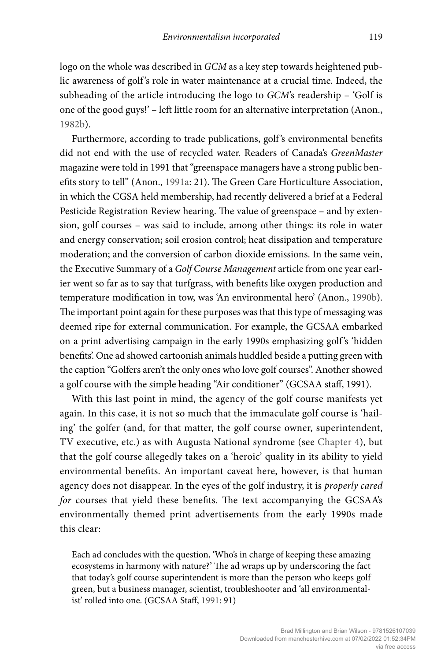logo on the whole was described in *GCM* as a key step towards heightened public awareness of golf 's role in water maintenance at a crucial time. Indeed, the subheading of the article introducing the logo to *GCM*'s readership – 'Golf is one of the good guys!' – left little room for an alternative interpretation (Anon., 1982b).

Furthermore, according to trade publications, golf's environmental benefits did not end with the use of recycled water. Readers of Canada's *GreenMaster* magazine were told in 1991 that "greenspace managers have a strong public benefits story to tell" (Anon., 1991a: 21). The Green Care Horticulture Association, in which the CGSA held membership, had recently delivered a brief at a Federal Pesticide Registration Review hearing. The value of greenspace – and by extension, golf courses – was said to include, among other things: its role in water and energy conservation; soil erosion control; heat dissipation and temperature moderation; and the conversion of carbon dioxide emissions. In the same vein, the Executive Summary of a *Golf Course Management* article from one year earlier went so far as to say that turfgrass, with benefits like oxygen production and temperature modification in tow, was 'An environmental hero' (Anon., 1990b). The important point again for these purposes was that this type of messaging was deemed ripe for external communication. For example, the GCSAA embarked on a print advertising campaign in the early 1990s emphasizing golf 's 'hidden benefits'. One ad showed cartoonish animals huddled beside a putting green with the caption "Golfers aren't the only ones who love golf courses". Another showed a golf course with the simple heading "Air conditioner" (GCSAA staff, 1991).

With this last point in mind, the agency of the golf course manifests yet again. In this case, it is not so much that the immaculate golf course is 'hailing' the golfer (and, for that matter, the golf course owner, superintendent, TV executive, etc.) as with Augusta National syndrome (see Chapter 4), but that the golf course allegedly takes on a 'heroic' quality in its ability to yield environmental benefits. An important caveat here, however, is that human agency does not disappear. In the eyes of the golf industry, it is *properly cared for* courses that yield these benefits. The text accompanying the GCSAA's environmentally themed print advertisements from the early 1990s made this clear:

Each ad concludes with the question, 'Who's in charge of keeping these amazing ecosystems in harmony with nature?' The ad wraps up by underscoring the fact that today's golf course superintendent is more than the person who keeps golf green, but a business manager, scientist, troubleshooter and 'all environmentalist' rolled into one. (GCSAA Staff, 1991: 91)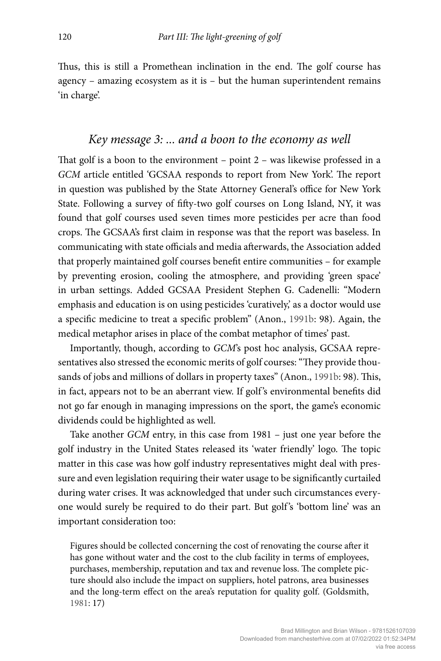Thus, this is still a Promethean inclination in the end. The golf course has agency – amazing ecosystem as it is – but the human superintendent remains 'in charge'.

## *Key message 3: ... and a boon to the economy as well*

That golf is a boon to the environment – point 2 – was likewise professed in a *GCM* article entitled 'GCSAA responds to report from New York'. The report in question was published by the State Attorney General's office for New York State. Following a survey of fifty-two golf courses on Long Island, NY, it was found that golf courses used seven times more pesticides per acre than food crops. The GCSAA's first claim in response was that the report was baseless. In communicating with state officials and media afterwards, the Association added that properly maintained golf courses benefit entire communities – for example by preventing erosion, cooling the atmosphere, and providing 'green space' in urban settings. Added GCSAA President Stephen G. Cadenelli: "Modern emphasis and education is on using pesticides 'curatively,' as a doctor would use a specific medicine to treat a specific problem" (Anon., 1991b: 98). Again, the medical metaphor arises in place of the combat metaphor of times' past.

Importantly, though, according to *GCM*'s post hoc analysis, GCSAA representatives also stressed the economic merits of golf courses: "They provide thousands of jobs and millions of dollars in property taxes" (Anon., 1991b: 98). This, in fact, appears not to be an aberrant view. If golf 's environmental benefits did not go far enough in managing impressions on the sport, the game's economic dividends could be highlighted as well.

Take another *GCM* entry, in this case from 1981 – just one year before the golf industry in the United States released its 'water friendly' logo. The topic matter in this case was how golf industry representatives might deal with pressure and even legislation requiring their water usage to be significantly curtailed during water crises. It was acknowledged that under such circumstances everyone would surely be required to do their part. But golf's 'bottom line' was an important consideration too:

Figures should be collected concerning the cost of renovating the course after it has gone without water and the cost to the club facility in terms of employees, purchases, membership, reputation and tax and revenue loss. The complete picture should also include the impact on suppliers, hotel patrons, area businesses and the long-term effect on the area's reputation for quality golf. (Goldsmith, 1981: 17)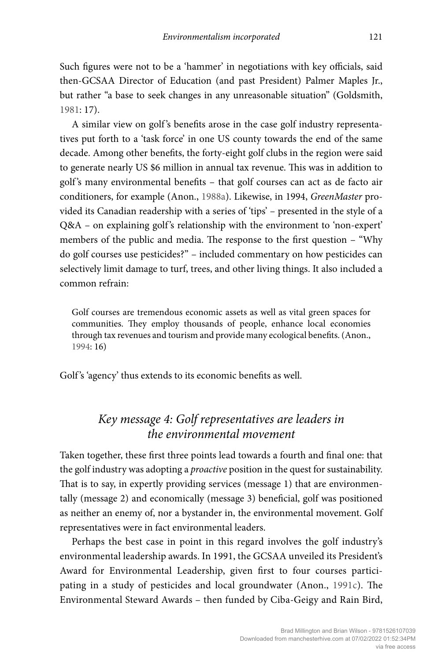Such figures were not to be a 'hammer' in negotiations with key officials, said then-GCSAA Director of Education (and past President) Palmer Maples Jr., but rather "a base to seek changes in any unreasonable situation" (Goldsmith, 1981: 17).

A similar view on golf 's benefits arose in the case golf industry representatives put forth to a 'task force' in one US county towards the end of the same decade. Among other benefits, the forty-eight golf clubs in the region were said to generate nearly US \$6 million in annual tax revenue. This was in addition to golf 's many environmental benefits – that golf courses can act as de facto air conditioners, for example (Anon., 1988a). Likewise, in 1994, *GreenMaster* provided its Canadian readership with a series of 'tips' – presented in the style of a Q&A – on explaining golf's relationship with the environment to 'non-expert' members of the public and media. The response to the first question – "Why do golf courses use pesticides?" – included commentary on how pesticides can selectively limit damage to turf, trees, and other living things. It also included a common refrain:

Golf courses are tremendous economic assets as well as vital green spaces for communities. They employ thousands of people, enhance local economies through tax revenues and tourism and provide many ecological benefits. (Anon., 1994: 16)

Golf's 'agency' thus extends to its economic benefits as well.

# *Key message 4: Golf representatives are leaders in the environmental movement*

Taken together, these first three points lead towards a fourth and final one: that the golf industry was adopting a *proactive* position in the quest for sustainability. That is to say, in expertly providing services (message 1) that are environmentally (message 2) and economically (message 3) beneficial, golf was positioned as neither an enemy of, nor a bystander in, the environmental movement. Golf representatives were in fact environmental leaders.

Perhaps the best case in point in this regard involves the golf industry's environmental leadership awards. In 1991, the GCSAA unveiled its President's Award for Environmental Leadership, given first to four courses participating in a study of pesticides and local groundwater (Anon., 1991c). The Environmental Steward Awards – then funded by Ciba-Geigy and Rain Bird,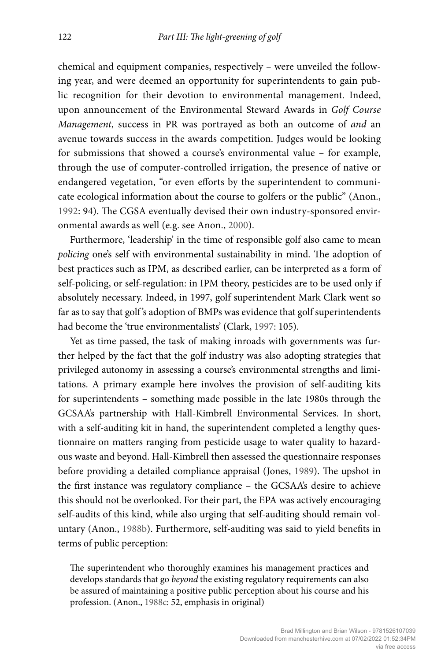chemical and equipment companies, respectively – were unveiled the following year, and were deemed an opportunity for superintendents to gain public recognition for their devotion to environmental management. Indeed, upon announcement of the Environmental Steward Awards in *Golf Course Management*, success in PR was portrayed as both an outcome of *and* an avenue towards success in the awards competition. Judges would be looking for submissions that showed a course's environmental value – for example, through the use of computer-controlled irrigation, the presence of native or endangered vegetation, "or even efforts by the superintendent to communicate ecological information about the course to golfers or the public" (Anon., 1992: 94). The CGSA eventually devised their own industry-sponsored environmental awards as well (e.g. see Anon., 2000).

Furthermore, 'leadership' in the time of responsible golf also came to mean *policing* one's self with environmental sustainability in mind. The adoption of best practices such as IPM, as described earlier, can be interpreted as a form of self-policing, or self-regulation: in IPM theory, pesticides are to be used only if absolutely necessary. Indeed, in 1997, golf superintendent Mark Clark went so far as to say that golf's adoption of BMPs was evidence that golf superintendents had become the 'true environmentalists' (Clark, 1997: 105).

Yet as time passed, the task of making inroads with governments was further helped by the fact that the golf industry was also adopting strategies that privileged autonomy in assessing a course's environmental strengths and limitations. A primary example here involves the provision of self-auditing kits for superintendents – something made possible in the late 1980s through the GCSAA's partnership with Hall-Kimbrell Environmental Services. In short, with a self-auditing kit in hand, the superintendent completed a lengthy questionnaire on matters ranging from pesticide usage to water quality to hazardous waste and beyond. Hall-Kimbrell then assessed the questionnaire responses before providing a detailed compliance appraisal (Jones, 1989). The upshot in the first instance was regulatory compliance – the GCSAA's desire to achieve this should not be overlooked. For their part, the EPA was actively encouraging self-audits of this kind, while also urging that self-auditing should remain voluntary (Anon., 1988b). Furthermore, self-auditing was said to yield benefits in terms of public perception:

The superintendent who thoroughly examines his management practices and develops standards that go *beyond* the existing regulatory requirements can also be assured of maintaining a positive public perception about his course and his profession. (Anon., 1988c: 52, emphasis in original)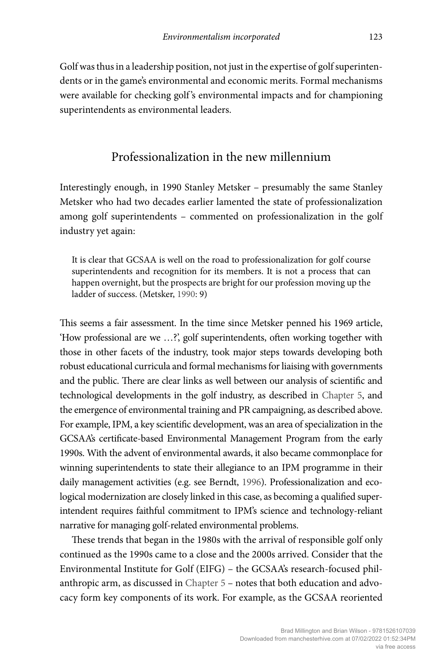Golf was thus in a leadership position, not just in the expertise of golf superintendents or in the game's environmental and economic merits. Formal mechanisms were available for checking golf's environmental impacts and for championing superintendents as environmental leaders.

#### Professionalization in the new millennium

Interestingly enough, in 1990 Stanley Metsker – presumably the same Stanley Metsker who had two decades earlier lamented the state of professionalization among golf superintendents – commented on professionalization in the golf industry yet again:

It is clear that GCSAA is well on the road to professionalization for golf course superintendents and recognition for its members. It is not a process that can happen overnight, but the prospects are bright for our profession moving up the ladder of success. (Metsker, 1990: 9)

This seems a fair assessment. In the time since Metsker penned his 1969 article, 'How professional are we …?', golf superintendents, often working together with those in other facets of the industry, took major steps towards developing both robust educational curricula and formal mechanisms for liaising with governments and the public. There are clear links as well between our analysis of scientific and technological developments in the golf industry, as described in Chapter 5, and the emergence of environmental training and PR campaigning, as described above. For example, IPM, a key scientific development, was an area of specialization in the GCSAA's certificate-based Environmental Management Program from the early 1990s. With the advent of environmental awards, it also became commonplace for winning superintendents to state their allegiance to an IPM programme in their daily management activities (e.g. see Berndt, 1996). Professionalization and ecological modernization are closely linked in this case, as becoming a qualified superintendent requires faithful commitment to IPM's science and technology-reliant narrative for managing golf-related environmental problems.

These trends that began in the 1980s with the arrival of responsible golf only continued as the 1990s came to a close and the 2000s arrived. Consider that the Environmental Institute for Golf (EIFG) – the GCSAA's research-focused philanthropic arm, as discussed in Chapter 5 – notes that both education and advocacy form key components of its work. For example, as the GCSAA reoriented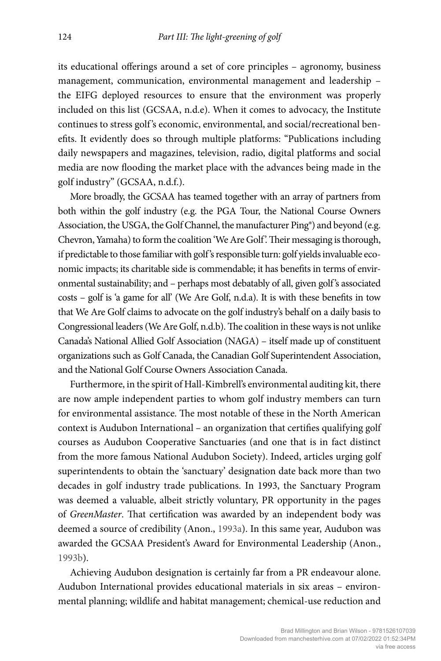its educational offerings around a set of core principles – agronomy, business management, communication, environmental management and leadership – the EIFG deployed resources to ensure that the environment was properly included on this list (GCSAA, n.d.e). When it comes to advocacy, the Institute continues to stress golf 's economic, environmental, and social/recreational benefits. It evidently does so through multiple platforms: "Publications including daily newspapers and magazines, television, radio, digital platforms and social media are now flooding the market place with the advances being made in the golf industry" (GCSAA, n.d.f.).

More broadly, the GCSAA has teamed together with an array of partners from both within the golf industry (e.g. the PGA Tour, the National Course Owners Association, the USGA, the Golf Channel, the manufacturer Ping®) and beyond (e.g. Chevron, Yamaha) to form the coalition 'We Are Golf'. Their messaging is thorough, if predictable to those familiar with golf's responsible turn: golf yields invaluable economic impacts; its charitable side is commendable; it has benefits in terms of environmental sustainability; and – perhaps most debatably of all, given golf's associated costs – golf is 'a game for all' (We Are Golf, n.d.a). It is with these benefits in tow that We Are Golf claims to advocate on the golf industry's behalf on a daily basis to Congressional leaders (We Are Golf, n.d.b). The coalition in these ways is not unlike Canada's National Allied Golf Association (NAGA) – itself made up of constituent organizations such as Golf Canada, the Canadian Golf Superintendent Association, and the National Golf Course Owners Association Canada.

Furthermore, in the spirit of Hall-Kimbrell's environmental auditing kit, there are now ample independent parties to whom golf industry members can turn for environmental assistance. The most notable of these in the North American context is Audubon International – an organization that certifies qualifying golf courses as Audubon Cooperative Sanctuaries (and one that is in fact distinct from the more famous National Audubon Society). Indeed, articles urging golf superintendents to obtain the 'sanctuary' designation date back more than two decades in golf industry trade publications. In 1993, the Sanctuary Program was deemed a valuable, albeit strictly voluntary, PR opportunity in the pages of *GreenMaster*. That certification was awarded by an independent body was deemed a source of credibility (Anon., 1993a). In this same year, Audubon was awarded the GCSAA President's Award for Environmental Leadership (Anon., 1993b).

Achieving Audubon designation is certainly far from a PR endeavour alone. Audubon International provides educational materials in six areas – environmental planning; wildlife and habitat management; chemical-use reduction and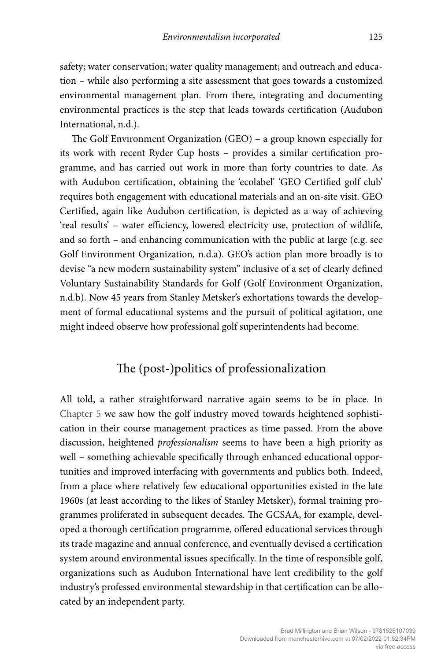safety; water conservation; water quality management; and outreach and education – while also performing a site assessment that goes towards a customized environmental management plan. From there, integrating and documenting environmental practices is the step that leads towards certification (Audubon International, n.d.).

The Golf Environment Organization (GEO) – a group known especially for its work with recent Ryder Cup hosts – provides a similar certification programme, and has carried out work in more than forty countries to date. As with Audubon certification, obtaining the 'ecolabel' 'GEO Certified golf club' requires both engagement with educational materials and an on-site visit. GEO Certified, again like Audubon certification, is depicted as a way of achieving 'real results' – water efficiency, lowered electricity use, protection of wildlife, and so forth – and enhancing communication with the public at large (e.g. see Golf Environment Organization, n.d.a). GEO's action plan more broadly is to devise "a new modern sustainability system" inclusive of a set of clearly defined Voluntary Sustainability Standards for Golf (Golf Environment Organization, n.d.b). Now 45 years from Stanley Metsker's exhortations towards the development of formal educational systems and the pursuit of political agitation, one might indeed observe how professional golf superintendents had become.

## The (post-)politics of professionalization

All told, a rather straightforward narrative again seems to be in place. In Chapter 5 we saw how the golf industry moved towards heightened sophistication in their course management practices as time passed. From the above discussion, heightened *professionalism* seems to have been a high priority as well – something achievable specifically through enhanced educational opportunities and improved interfacing with governments and publics both. Indeed, from a place where relatively few educational opportunities existed in the late 1960s (at least according to the likes of Stanley Metsker), formal training programmes proliferated in subsequent decades. The GCSAA, for example, developed a thorough certification programme, offered educational services through its trade magazine and annual conference, and eventually devised a certification system around environmental issues specifically. In the time of responsible golf, organizations such as Audubon International have lent credibility to the golf industry's professed environmental stewardship in that certification can be allocated by an independent party.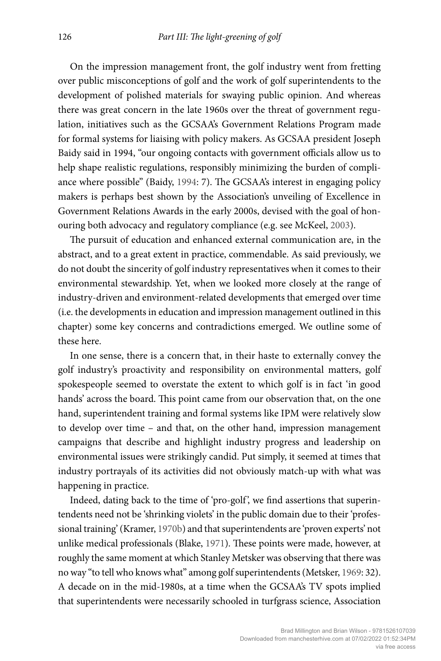On the impression management front, the golf industry went from fretting over public misconceptions of golf and the work of golf superintendents to the development of polished materials for swaying public opinion. And whereas there was great concern in the late 1960s over the threat of government regulation, initiatives such as the GCSAA's Government Relations Program made for formal systems for liaising with policy makers. As GCSAA president Joseph Baidy said in 1994, "our ongoing contacts with government officials allow us to help shape realistic regulations, responsibly minimizing the burden of compliance where possible" (Baidy, 1994: 7). The GCSAA's interest in engaging policy makers is perhaps best shown by the Association's unveiling of Excellence in Government Relations Awards in the early 2000s, devised with the goal of honouring both advocacy and regulatory compliance (e.g. see McKeel, 2003).

The pursuit of education and enhanced external communication are, in the abstract, and to a great extent in practice, commendable. As said previously, we do not doubt the sincerity of golf industry representatives when it comes to their environmental stewardship. Yet, when we looked more closely at the range of industry-driven and environment-related developments that emerged over time (i.e. the developments in education and impression management outlined in this chapter) some key concerns and contradictions emerged. We outline some of these here.

In one sense, there is a concern that, in their haste to externally convey the golf industry's proactivity and responsibility on environmental matters, golf spokespeople seemed to overstate the extent to which golf is in fact 'in good hands' across the board. This point came from our observation that, on the one hand, superintendent training and formal systems like IPM were relatively slow to develop over time – and that, on the other hand, impression management campaigns that describe and highlight industry progress and leadership on environmental issues were strikingly candid. Put simply, it seemed at times that industry portrayals of its activities did not obviously match-up with what was happening in practice.

Indeed, dating back to the time of 'pro-golf', we find assertions that superintendents need not be 'shrinking violets' in the public domain due to their 'professional training' (Kramer, 1970b) and that superintendents are 'proven experts' not unlike medical professionals (Blake, 1971). These points were made, however, at roughly the same moment at which Stanley Metsker was observing that there was no way "to tell who knows what" among golf superintendents (Metsker, 1969: 32). A decade on in the mid-1980s, at a time when the GCSAA's TV spots implied that superintendents were necessarily schooled in turfgrass science, Association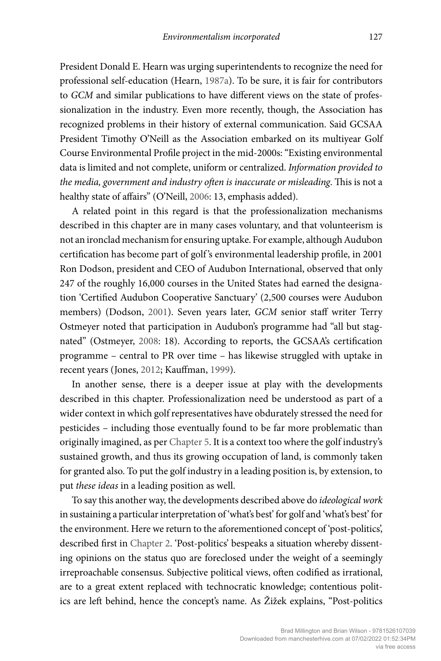President Donald E. Hearn was urging superintendents to recognize the need for professional self-education (Hearn, 1987a). To be sure, it is fair for contributors to *GCM* and similar publications to have different views on the state of professionalization in the industry. Even more recently, though, the Association has recognized problems in their history of external communication. Said GCSAA President Timothy O'Neill as the Association embarked on its multiyear Golf Course Environmental Profile project in the mid-2000s: "Existing environmental data is limited and not complete, uniform or centralized. *Information provided to the media, government and industry often is inaccurate or misleading*. This is not a healthy state of affairs" (O'Neill, 2006: 13, emphasis added).

A related point in this regard is that the professionalization mechanisms described in this chapter are in many cases voluntary, and that volunteerism is not an ironclad mechanism for ensuring uptake. For example, although Audubon certification has become part of golf 's environmental leadership profile, in 2001 Ron Dodson, president and CEO of Audubon International, observed that only 247 of the roughly 16,000 courses in the United States had earned the designation 'Certified Audubon Cooperative Sanctuary' (2,500 courses were Audubon members) (Dodson, 2001). Seven years later, *GCM* senior staff writer Terry Ostmeyer noted that participation in Audubon's programme had "all but stagnated" (Ostmeyer, 2008: 18). According to reports, the GCSAA's certification programme – central to PR over time – has likewise struggled with uptake in recent years (Jones, 2012; Kauffman, 1999).

In another sense, there is a deeper issue at play with the developments described in this chapter. Professionalization need be understood as part of a wider context in which golf representatives have obdurately stressed the need for pesticides – including those eventually found to be far more problematic than originally imagined, as per Chapter 5. It is a context too where the golf industry's sustained growth, and thus its growing occupation of land, is commonly taken for granted also. To put the golf industry in a leading position is, by extension, to put *these ideas* in a leading position as well.

To say this another way, the developments described above do *ideological work* in sustaining a particular interpretation of 'what's best' for golf and 'what's best' for the environment. Here we return to the aforementioned concept of 'post-politics', described first in Chapter 2. 'Post-politics' bespeaks a situation whereby dissenting opinions on the status quo are foreclosed under the weight of a seemingly irreproachable consensus. Subjective political views, often codified as irrational, are to a great extent replaced with technocratic knowledge; contentious politics are left behind, hence the concept's name. As Žižek explains, "Post-politics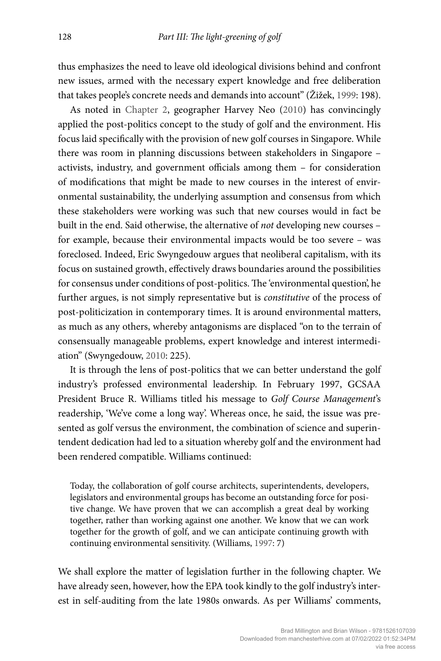thus emphasizes the need to leave old ideological divisions behind and confront new issues, armed with the necessary expert knowledge and free deliberation that takes people's concrete needs and demands into account" (Žižek, 1999: 198).

As noted in Chapter 2, geographer Harvey Neo (2010) has convincingly applied the post-politics concept to the study of golf and the environment. His focus laid specifically with the provision of new golf courses in Singapore. While there was room in planning discussions between stakeholders in Singapore – activists, industry, and government officials among them – for consideration of modifications that might be made to new courses in the interest of environmental sustainability, the underlying assumption and consensus from which these stakeholders were working was such that new courses would in fact be built in the end. Said otherwise, the alternative of *not* developing new courses – for example, because their environmental impacts would be too severe – was foreclosed. Indeed, Eric Swyngedouw argues that neoliberal capitalism, with its focus on sustained growth, effectively draws boundaries around the possibilities for consensus under conditions of post-politics. The 'environmental question', he further argues, is not simply representative but is *constitutive* of the process of post-politicization in contemporary times. It is around environmental matters, as much as any others, whereby antagonisms are displaced "on to the terrain of consensually manageable problems, expert knowledge and interest intermediation" (Swyngedouw, 2010: 225).

It is through the lens of post-politics that we can better understand the golf industry's professed environmental leadership. In February 1997, GCSAA President Bruce R. Williams titled his message to *Golf Course Management*'s readership, 'We've come a long way'. Whereas once, he said, the issue was presented as golf versus the environment, the combination of science and superintendent dedication had led to a situation whereby golf and the environment had been rendered compatible. Williams continued:

Today, the collaboration of golf course architects, superintendents, developers, legislators and environmental groups has become an outstanding force for positive change. We have proven that we can accomplish a great deal by working together, rather than working against one another. We know that we can work together for the growth of golf, and we can anticipate continuing growth with continuing environmental sensitivity. (Williams, 1997: 7)

We shall explore the matter of legislation further in the following chapter. We have already seen, however, how the EPA took kindly to the golf industry's interest in self-auditing from the late 1980s onwards. As per Williams' comments,